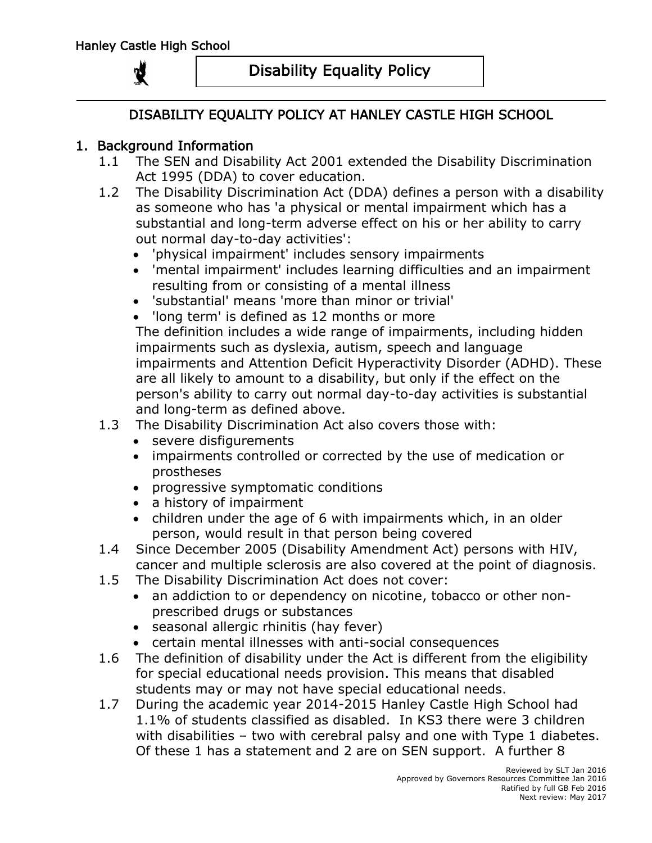## Disability Equality Policy

### DISABILITY EQUALITY POLICY AT HANLEY CASTLE HIGH SCHOOL

### 1. Background Information

- 1.1 The SEN and Disability Act 2001 extended the Disability Discrimination Act 1995 (DDA) to cover education.
- 1.2 The Disability Discrimination Act (DDA) defines a person with a disability as someone who has 'a physical or mental impairment which has a substantial and long-term adverse effect on his or her ability to carry out normal day-to-day activities':
	- 'physical impairment' includes sensory impairments
	- 'mental impairment' includes learning difficulties and an impairment resulting from or consisting of a mental illness
	- 'substantial' means 'more than minor or trivial'
	- 'long term' is defined as 12 months or more

The definition includes a wide range of impairments, including hidden impairments such as dyslexia, autism, speech and language impairments and Attention Deficit Hyperactivity Disorder (ADHD). These are all likely to amount to a disability, but only if the effect on the person's ability to carry out normal day-to-day activities is substantial and long-term as defined above.

- 1.3 The Disability Discrimination Act also covers those with:
	- severe disfigurements
	- impairments controlled or corrected by the use of medication or prostheses
	- progressive symptomatic conditions
	- a history of impairment
	- children under the age of 6 with impairments which, in an older person, would result in that person being covered
- 1.4 Since December 2005 (Disability Amendment Act) persons with HIV, cancer and multiple sclerosis are also covered at the point of diagnosis.
- 1.5 The Disability Discrimination Act does not cover:
	- an addiction to or dependency on nicotine, tobacco or other nonprescribed drugs or substances
	- seasonal allergic rhinitis (hay fever)
	- certain mental illnesses with anti-social consequences
- 1.6 The definition of disability under the Act is different from the eligibility for special educational needs provision. This means that disabled students may or may not have special educational needs.
- 1.7 During the academic year 2014-2015 Hanley Castle High School had 1.1% of students classified as disabled. In KS3 there were 3 children with disabilities - two with cerebral palsy and one with Type 1 diabetes. Of these 1 has a statement and 2 are on SEN support. A further 8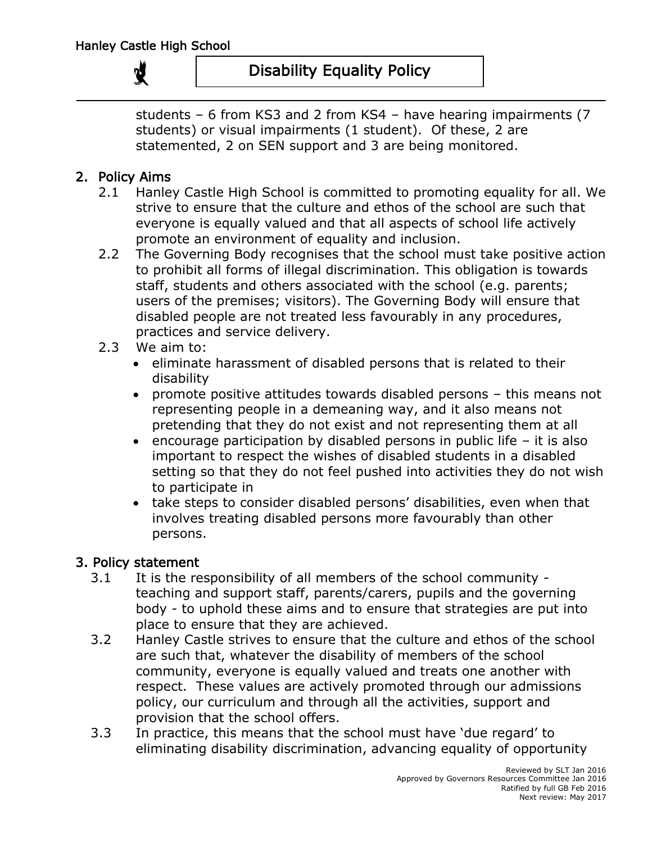# Disability Equality Policy

students – 6 from KS3 and 2 from KS4 – have hearing impairments (7 students) or visual impairments (1 student). Of these, 2 are statemented, 2 on SEN support and 3 are being monitored.

#### 2. Policy Aims

- 2.1 Hanley Castle High School is committed to promoting equality for all. We strive to ensure that the culture and ethos of the school are such that everyone is equally valued and that all aspects of school life actively promote an environment of equality and inclusion.
- 2.2 The Governing Body recognises that the school must take positive action to prohibit all forms of illegal discrimination. This obligation is towards staff, students and others associated with the school (e.g. parents; users of the premises; visitors). The Governing Body will ensure that disabled people are not treated less favourably in any procedures, practices and service delivery.
- 2.3 We aim to:
	- eliminate harassment of disabled persons that is related to their disability
	- promote positive attitudes towards disabled persons this means not representing people in a demeaning way, and it also means not pretending that they do not exist and not representing them at all
	- e encourage participation by disabled persons in public life  $-$  it is also important to respect the wishes of disabled students in a disabled setting so that they do not feel pushed into activities they do not wish to participate in
	- take steps to consider disabled persons' disabilities, even when that involves treating disabled persons more favourably than other persons.

#### 3. Policy statement

- 3.1 It is the responsibility of all members of the school community teaching and support staff, parents/carers, pupils and the governing body - to uphold these aims and to ensure that strategies are put into place to ensure that they are achieved.
- 3.2 Hanley Castle strives to ensure that the culture and ethos of the school are such that, whatever the disability of members of the school community, everyone is equally valued and treats one another with respect. These values are actively promoted through our admissions policy, our curriculum and through all the activities, support and provision that the school offers.
- 3.3 In practice, this means that the school must have 'due regard' to eliminating disability discrimination, advancing equality of opportunity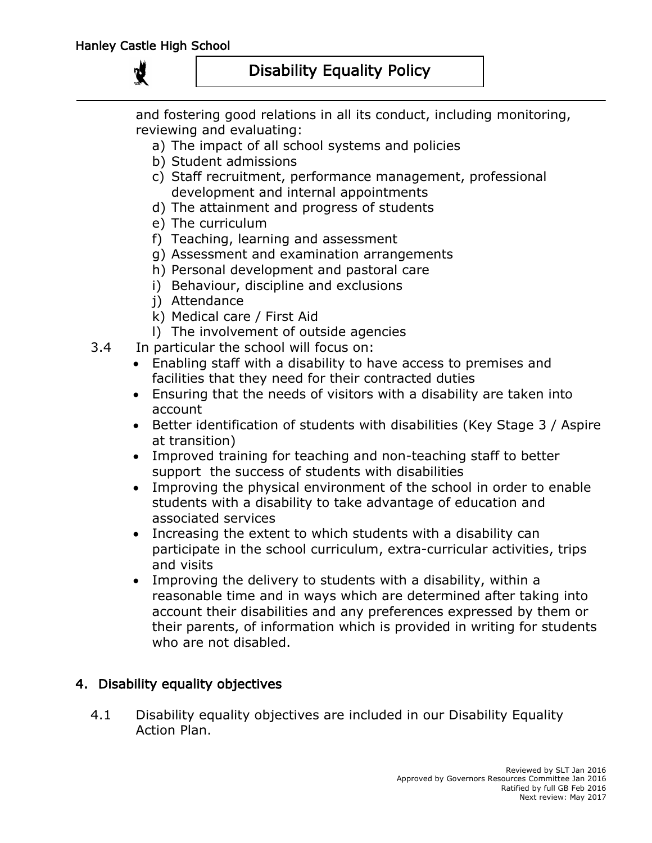# Disability Equality Policy

and fostering good relations in all its conduct, including monitoring, reviewing and evaluating:

- a) The impact of all school systems and policies
- b) Student admissions
- c) Staff recruitment, performance management, professional development and internal appointments
- d) The attainment and progress of students
- e) The curriculum
- f) Teaching, learning and assessment
- g) Assessment and examination arrangements
- h) Personal development and pastoral care
- i) Behaviour, discipline and exclusions
- j) Attendance
- k) Medical care / First Aid
- l) The involvement of outside agencies
- 3.4 In particular the school will focus on:
	- Enabling staff with a disability to have access to premises and facilities that they need for their contracted duties
	- Ensuring that the needs of visitors with a disability are taken into account
	- Better identification of students with disabilities (Key Stage 3 / Aspire at transition)
	- Improved training for teaching and non-teaching staff to better support the success of students with disabilities
	- Improving the physical environment of the school in order to enable students with a disability to take advantage of education and associated services
	- Increasing the extent to which students with a disability can participate in the school curriculum, extra-curricular activities, trips and visits
	- Improving the delivery to students with a disability, within a reasonable time and in ways which are determined after taking into account their disabilities and any preferences expressed by them or their parents, of information which is provided in writing for students who are not disabled.

# 4. Disability equality objectives

4.1 Disability equality objectives are included in our Disability Equality Action Plan.